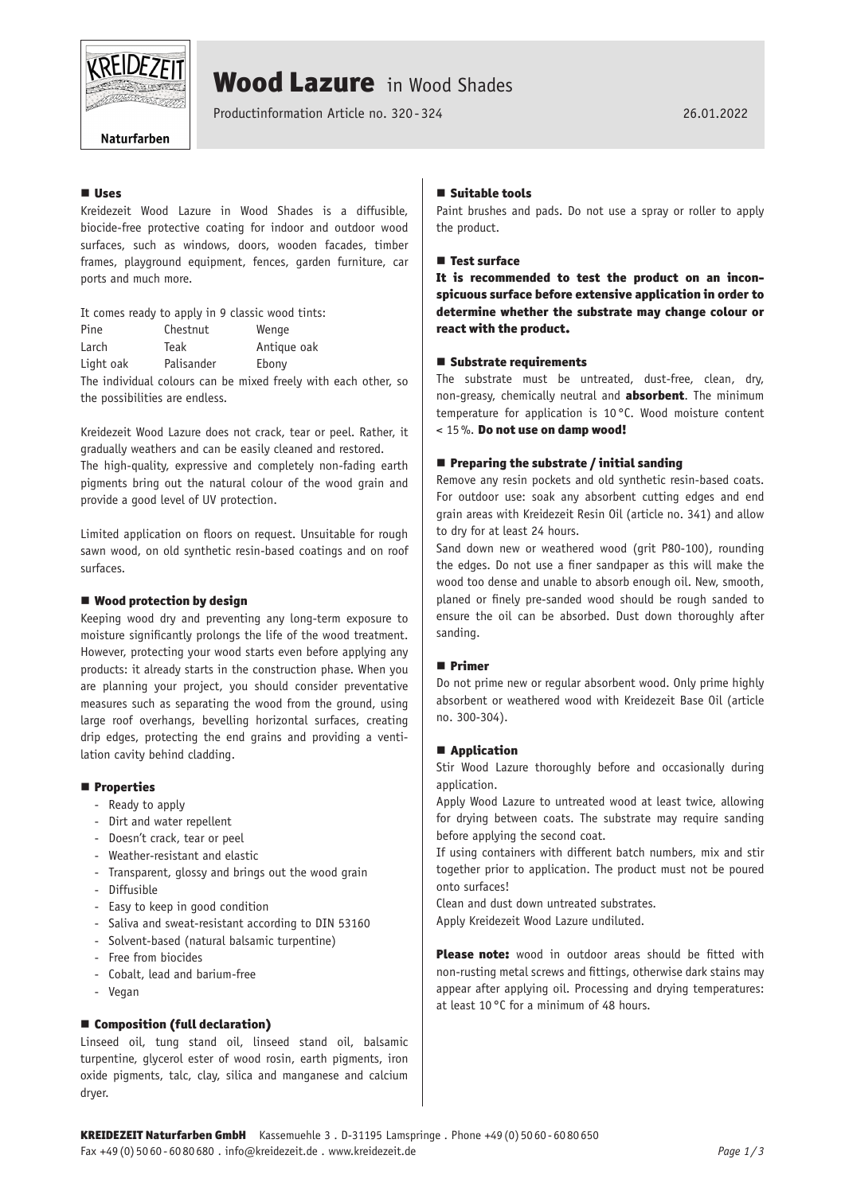

# Wood Lazure in Wood Shades

Productinformation Article no. 320 -324 26.01.2022

# Naturfarben

# **U** Head

Kreidezeit Wood Lazure in Wood Shades is a diffusible, biocide-free protective coating for indoor and outdoor wood surfaces, such as windows, doors, wooden facades, timber frames, playground equipment, fences, garden furniture, car ports and much more.

It comes ready to apply in 9 classic wood tints: Pine Chestnut Wenge Larch Teak Antique oak Light oak Palisander Ebony

The individual colours can be mixed freely with each other, so the possibilities are endless.

Kreidezeit Wood Lazure does not crack, tear or peel. Rather, it gradually weathers and can be easily cleaned and restored.

The high-quality, expressive and completely non-fading earth pigments bring out the natural colour of the wood grain and provide a good level of UV protection.

Limited application on floors on request. Unsuitable for rough sawn wood, on old synthetic resin-based coatings and on roof surfaces.

# ■ Wood protection by design

Keeping wood dry and preventing any long-term exposure to moisture significantly prolongs the life of the wood treatment. However, protecting your wood starts even before applying any products: it already starts in the construction phase. When you are planning your project, you should consider preventative measures such as separating the wood from the ground, using large roof overhangs, bevelling horizontal surfaces, creating drip edges, protecting the end grains and providing a ventilation cavity behind cladding.

# **Properties**

- Ready to apply
- Dirt and water repellent
- Doesn't crack, tear or peel
- Weather-resistant and elastic
- Transparent, glossy and brings out the wood grain
- Diffusible
- Easy to keep in good condition
- Saliva and sweat-resistant according to DIN 53160
- Solvent-based (natural balsamic turpentine)
- Free from biocides
- Cobalt, lead and barium-free
- Vegan

# ■ Composition (full declaration)

Linseed oil, tung stand oil, linseed stand oil, balsamic turpentine, glycerol ester of wood rosin, earth pigments, iron oxide pigments, talc, clay, silica and manganese and calcium dryer.

#### $\blacksquare$  Suitable tools

Paint brushes and pads. Do not use a spray or roller to apply the product.

# **Test surface**

It is recommended to test the product on an inconspicuous surface before extensive application in order to determine whether the substrate may change colour or react with the product.

#### ■ Substrate requirements

The substrate must be untreated, dust-free, clean, dry, non-greasy, chemically neutral and **absorbent**. The minimum temperature for application is 10°C. Wood moisture content  $<$  15%. Do not use on damp wood!

#### $\blacksquare$  Preparing the substrate / initial sanding

Remove any resin pockets and old synthetic resin-based coats. For outdoor use: soak any absorbent cutting edges and end grain areas with Kreidezeit Resin Oil (article no. 341) and allow to dry for at least 24 hours.

Sand down new or weathered wood (grit P80-100), rounding the edges. Do not use a finer sandpaper as this will make the wood too dense and unable to absorb enough oil. New, smooth, planed or finely pre-sanded wood should be rough sanded to ensure the oil can be absorbed. Dust down thoroughly after sanding.

# Primer

Do not prime new or regular absorbent wood. Only prime highly absorbent or weathered wood with Kreidezeit Base Oil (article no. 300-304).

# ■ Application

Stir Wood Lazure thoroughly before and occasionally during application.

Apply Wood Lazure to untreated wood at least twice, allowing for drying between coats. The substrate may require sanding before applying the second coat.

If using containers with different batch numbers, mix and stir together prior to application. The product must not be poured onto surfaces!

Clean and dust down untreated substrates. Apply Kreidezeit Wood Lazure undiluted.

Please note: wood in outdoor areas should be fitted with non-rusting metal screws and fittings, otherwise dark stains may appear after applying oil. Processing and drying temperatures: at least 10°C for a minimum of 48 hours.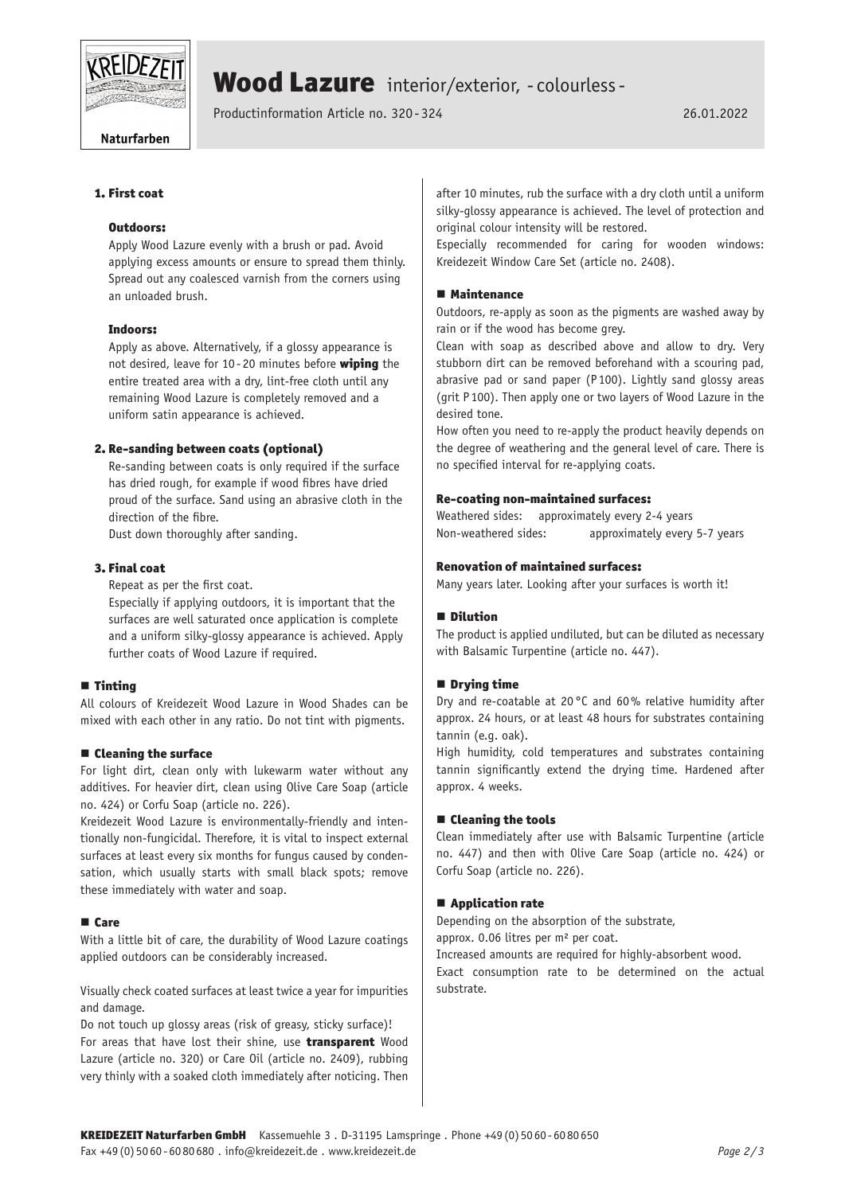

# Wood Lazure interior/exterior, - colourless -

Productinformation Article no. 320 -324 26.01.2022

#### Naturfarben

# 1. First coat

# Outdoors:

Apply Wood Lazure evenly with a brush or pad. Avoid applying excess amounts or ensure to spread them thinly. Spread out any coalesced varnish from the corners using an unloaded brush.

#### Indoors:

Apply as above. Alternatively, if a glossy appearance is not desired, leave for 10-20 minutes before wiping the entire treated area with a dry, lint-free cloth until any remaining Wood Lazure is completely removed and a uniform satin appearance is achieved.

# 2. Re-sanding between coats (optional)

Re-sanding between coats is only required if the surface has dried rough, for example if wood fibres have dried proud of the surface. Sand using an abrasive cloth in the direction of the fibre.

Dust down thoroughly after sanding.

# 3. Final coat

Repeat as per the first coat.

Especially if applying outdoors, it is important that the surfaces are well saturated once application is complete and a uniform silky-glossy appearance is achieved. Apply further coats of Wood Lazure if required.

#### ■ Tinting

All colours of Kreidezeit Wood Lazure in Wood Shades can be mixed with each other in any ratio. Do not tint with pigments.

#### $\blacksquare$  Cleaning the surface

For light dirt, clean only with lukewarm water without any additives. For heavier dirt, clean using Olive Care Soap (article no. 424) or Corfu Soap (article no. 226).

Kreidezeit Wood Lazure is environmentally-friendly and intentionally non-fungicidal. Therefore, it is vital to inspect external surfaces at least every six months for fungus caused by condensation, which usually starts with small black spots; remove these immediately with water and soap.

#### ■ Care

With a little bit of care, the durability of Wood Lazure coatings applied outdoors can be considerably increased.

Visually check coated surfaces at least twice a year for impurities and damage.

Do not touch up glossy areas (risk of greasy, sticky surface)! For areas that have lost their shine, use **transparent** Wood Lazure (article no. 320) or Care Oil (article no. 2409), rubbing very thinly with a soaked cloth immediately after noticing. Then

after 10 minutes, rub the surface with a dry cloth until a uniform silky-glossy appearance is achieved. The level of protection and original colour intensity will be restored.

Especially recommended for caring for wooden windows: Kreidezeit Window Care Set (article no. 2408).

#### **■ Maintenance**

Outdoors, re-apply as soon as the pigments are washed away by rain or if the wood has become grey.

Clean with soap as described above and allow to dry. Very stubborn dirt can be removed beforehand with a scouring pad, abrasive pad or sand paper (P100). Lightly sand glossy areas (grit P 100). Then apply one or two layers of Wood Lazure in the desired tone.

How often you need to re-apply the product heavily depends on the degree of weathering and the general level of care. There is no specified interval for re-applying coats.

# Re-coating non-maintained surfaces:

Weathered sides: approximately every 2-4 years Non-weathered sides: approximately every 5-7 years

#### Renovation of maintained surfaces:

Many years later. Looking after your surfaces is worth it!

#### $\blacksquare$  Dilution

The product is applied undiluted, but can be diluted as necessary with Balsamic Turpentine (article no. 447).

#### **Drying time**

Dry and re-coatable at 20 °C and 60% relative humidity after approx. 24 hours, or at least 48 hours for substrates containing tannin (e.g. oak).

High humidity, cold temperatures and substrates containing tannin significantly extend the drying time. Hardened after approx. 4 weeks.

#### ■ Cleaning the tools

Clean immediately after use with Balsamic Turpentine (article no. 447) and then with Olive Care Soap (article no. 424) or Corfu Soap (article no. 226).

# ■ Application rate

Depending on the absorption of the substrate, approx. 0.06 litres per m² per coat.

Increased amounts are required for highly-absorbent wood.

Exact consumption rate to be determined on the actual substrate.